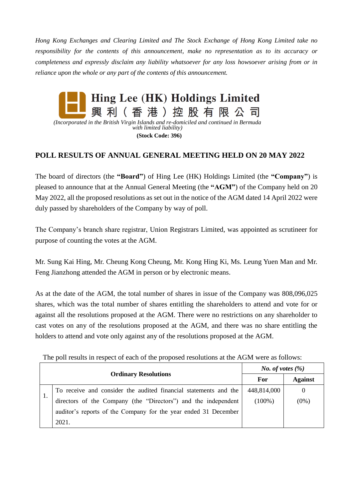*Hong Kong Exchanges and Clearing Limited and The Stock Exchange of Hong Kong Limited take no responsibility for the contents of this announcement, make no representation as to its accuracy or completeness and expressly disclaim any liability whatsoever for any loss howsoever arising from or in reliance upon the whole or any part of the contents of this announcement.*



*(Incorporated in the British Virgin Islands and re-domiciled and continued in Bermuda with limited liability)* **(Stock Code: 396)**

## **POLL RESULTS OF ANNUAL GENERAL MEETING HELD ON 20 MAY 2022**

The board of directors (the **"Board"**) of Hing Lee (HK) Holdings Limited (the **"Company"**) is pleased to announce that at the Annual General Meeting (the **"AGM"**) of the Company held on 20 May 2022, all the proposed resolutions as set out in the notice of the AGM dated 14 April 2022 were duly passed by shareholders of the Company by way of poll.

The Company's branch share registrar, Union Registrars Limited, was appointed as scrutineer for purpose of counting the votes at the AGM.

Mr. Sung Kai Hing, Mr. Cheung Kong Cheung, Mr. Kong Hing Ki, Ms. Leung Yuen Man and Mr. Feng Jianzhong attended the AGM in person or by electronic means.

As at the date of the AGM, the total number of shares in issue of the Company was 808,096,025 shares, which was the total number of shares entitling the shareholders to attend and vote for or against all the resolutions proposed at the AGM. There were no restrictions on any shareholder to cast votes on any of the resolutions proposed at the AGM, and there was no share entitling the holders to attend and vote only against any of the resolutions proposed at the AGM.

The poll results in respect of each of the proposed resolutions at the AGM were as follows:

|                             |                                                                  | <i>No. of votes</i> $(\%)$ |                |
|-----------------------------|------------------------------------------------------------------|----------------------------|----------------|
| <b>Ordinary Resolutions</b> |                                                                  | For                        | <b>Against</b> |
|                             | To receive and consider the audited financial statements and the | 448,814,000                | $\theta$       |
|                             | directors of the Company (the "Directors") and the independent   | $(100\%)$                  | $(0\%)$        |
|                             | auditor's reports of the Company for the year ended 31 December  |                            |                |
|                             | 2021.                                                            |                            |                |